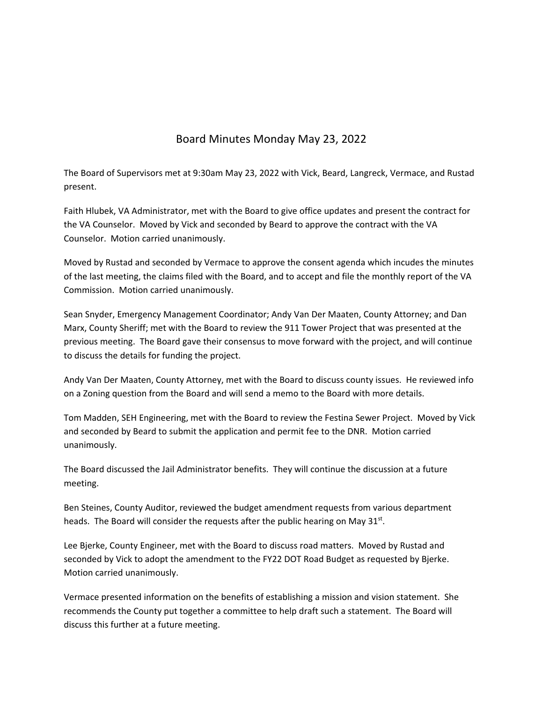## Board Minutes Monday May 23, 2022

The Board of Supervisors met at 9:30am May 23, 2022 with Vick, Beard, Langreck, Vermace, and Rustad present.

Faith Hlubek, VA Administrator, met with the Board to give office updates and present the contract for the VA Counselor. Moved by Vick and seconded by Beard to approve the contract with the VA Counselor. Motion carried unanimously.

Moved by Rustad and seconded by Vermace to approve the consent agenda which incudes the minutes of the last meeting, the claims filed with the Board, and to accept and file the monthly report of the VA Commission. Motion carried unanimously.

Sean Snyder, Emergency Management Coordinator; Andy Van Der Maaten, County Attorney; and Dan Marx, County Sheriff; met with the Board to review the 911 Tower Project that was presented at the previous meeting. The Board gave their consensus to move forward with the project, and will continue to discuss the details for funding the project.

Andy Van Der Maaten, County Attorney, met with the Board to discuss county issues. He reviewed info on a Zoning question from the Board and will send a memo to the Board with more details.

Tom Madden, SEH Engineering, met with the Board to review the Festina Sewer Project. Moved by Vick and seconded by Beard to submit the application and permit fee to the DNR. Motion carried unanimously.

The Board discussed the Jail Administrator benefits. They will continue the discussion at a future meeting.

Ben Steines, County Auditor, reviewed the budget amendment requests from various department heads. The Board will consider the requests after the public hearing on May 31st.

Lee Bjerke, County Engineer, met with the Board to discuss road matters. Moved by Rustad and seconded by Vick to adopt the amendment to the FY22 DOT Road Budget as requested by Bjerke. Motion carried unanimously.

Vermace presented information on the benefits of establishing a mission and vision statement. She recommends the County put together a committee to help draft such a statement. The Board will discuss this further at a future meeting.